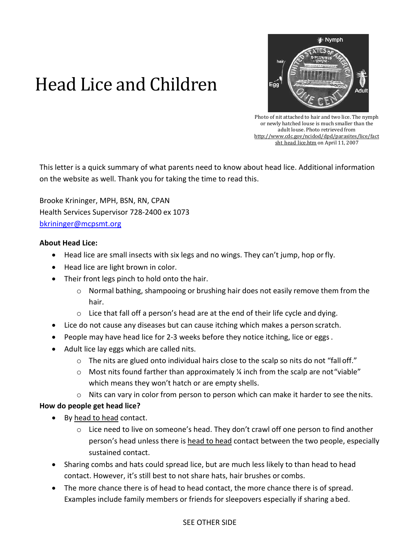# Head Lice and Children



Photo of nit attached to hair and two lice. The nymph or newly hatched louse is much smaller than the adult louse. Photo retrieved from [http://www.cdc.gov/ncidod/dpd/parasites/lice/fact](http://www.cdc.gov/ncidod/dpd/parasites/lice/factsht_head_lice.htm) sht head lice.htm on April 11, 2007

This letter is a quick summary of what parents need to know about head lice. Additional information on the website as well. Thank you for taking the time to read this.

Brooke Krininger, MPH, BSN, RN, CPAN Health Services Supervisor 728-2400 ex 1073 [bkrininger@mcpsmt.org](mailto:bkrininger@mcpsmt.org)

### **About Head Lice:**

- Head lice are small insects with six legs and no wings. They can't jump, hop orfly.
- Head lice are light brown in color.
- Their front legs pinch to hold onto the hair.
	- o Normal bathing, shampooing or brushing hair does not easily remove them from the hair.
	- $\circ$  Lice that fall off a person's head are at the end of their life cycle and dying.
- Lice do not cause any diseases but can cause itching which makes a person scratch.
- People may have head lice for 2-3 weeks before they notice itching, lice or eggs.
- Adult lice lay eggs which are called nits.
	- $\circ$  The nits are glued onto individual hairs close to the scalp so nits do not "fall off."
	- $\circ$  Most nits found farther than approximately % inch from the scalp are not "viable" which means they won't hatch or are empty shells.
	- $\circ$  Nits can vary in color from person to person which can make it harder to see the nits.

## **How do people get head lice?**

- By head to head contact.
	- o Lice need to live on someone's head. They don't crawl off one person to find another person's head unless there is head to head contact between the two people, especially sustained contact.
- Sharing combs and hats could spread lice, but are much less likely to than head to head contact. However, it's still best to not share hats, hair brushes or combs.
- The more chance there is of head to head contact, the more chance there is of spread. Examples include family members or friends for sleepovers especially if sharing abed.

### SEE OTHER SIDE